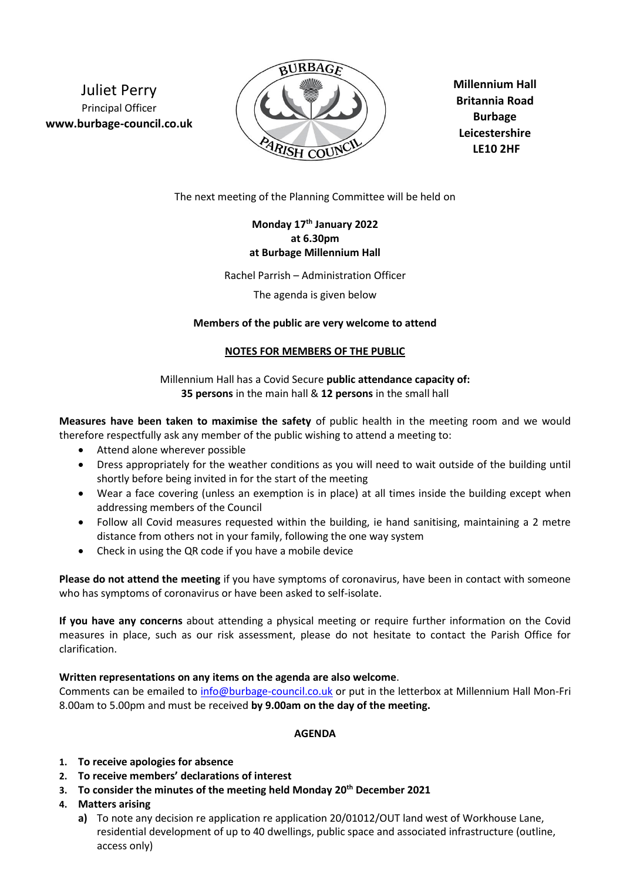Juliet Perry Principal Officer **www.burbage-council.co.uk**



**Millennium Hall Britannia Road Burbage Leicestershire LE10 2HF**

The next meeting of the Planning Committee will be held on

# **Monday 17th January 2022 at 6.30pm at Burbage Millennium Hall**

Rachel Parrish – Administration Officer

The agenda is given below

#### **Members of the public are very welcome to attend**

#### **NOTES FOR MEMBERS OF THE PUBLIC**

Millennium Hall has a Covid Secure **public attendance capacity of: 35 persons** in the main hall & **12 persons** in the small hall

**Measures have been taken to maximise the safety** of public health in the meeting room and we would therefore respectfully ask any member of the public wishing to attend a meeting to:

- Attend alone wherever possible
- Dress appropriately for the weather conditions as you will need to wait outside of the building until shortly before being invited in for the start of the meeting
- Wear a face covering (unless an exemption is in place) at all times inside the building except when addressing members of the Council
- Follow all Covid measures requested within the building, ie hand sanitising, maintaining a 2 metre distance from others not in your family, following the one way system
- Check in using the QR code if you have a mobile device

**Please do not attend the meeting** if you have symptoms of coronavirus, have been in contact with someone who has symptoms of coronavirus or have been asked to self-isolate.

**If you have any concerns** about attending a physical meeting or require further information on the Covid measures in place, such as our risk assessment, please do not hesitate to contact the Parish Office for clarification.

## **Written representations on any items on the agenda are also welcome**.

Comments can be emailed to [info@burbage-council.co.uk](mailto:info@burbage-council.co.uk) or put in the letterbox at Millennium Hall Mon-Fri 8.00am to 5.00pm and must be received **by 9.00am on the day of the meeting.**

## **AGENDA**

- **1. To receive apologies for absence**
- **2. To receive members' declarations of interest**
- **3. To consider the minutes of the meeting held Monday 20th December 2021**
- **4. Matters arising**
	- **a)** To note any decision re application re application 20/01012/OUT land west of Workhouse Lane, residential development of up to 40 dwellings, public space and associated infrastructure (outline, access only)